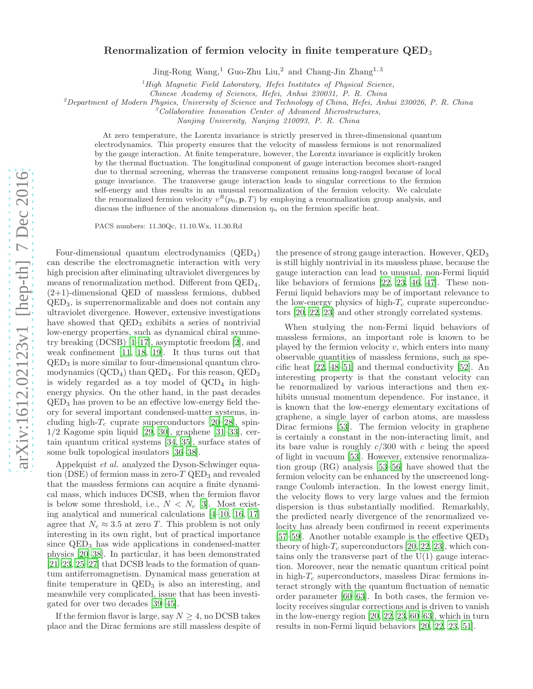## Renormalization of fermion velocity in finite temperature QED<sup>3</sup>

Jing-Rong Wang,<sup>1</sup> Guo-Zhu Liu,<sup>2</sup> and Chang-Jin Zhang<sup>1,3</sup>

 ${}^{1}$ High Magnetic Field Laboratory, Hefei Institutes of Physical Science,

Chinese Academy of Sciences, Hefei, Anhui 230031, P. R. China

 $^{2}$ Department of Modern Physics, University of Science and Technology of China, Hefei, Anhui 230026, P. R. China

<sup>3</sup>Collaborative Innovation Center of Advanced Microstructures,

Nanjing University, Nanjing 210093, P. R. China

At zero temperature, the Lorentz invariance is strictly preserved in three-dimensional quantum electrodynamics. This property ensures that the velocity of massless fermions is not renormalized by the gauge interaction. At finite temperature, however, the Lorentz invariance is explicitly broken by the thermal fluctuation. The longitudinal component of gauge interaction becomes short-ranged due to thermal screening, whereas the transverse component remains long-ranged because of local gauge invariance. The transverse gauge interaction leads to singular corrections to the fermion self-energy and thus results in an unusual renormalization of the fermion velocity. We calculate the renormalized fermion velocity  $v^R(p_0, \mathbf{p}, T)$  by employing a renormalization group analysis, and discuss the influence of the anomalous dimension  $\eta_n$  on the fermion specific heat.

PACS numbers: 11.30Qc, 11.10.Wx, 11.30.Rd

Four-dimensional quantum electrodynamics (QED4) can describe the electromagnetic interaction with very high precision after eliminating ultraviolet divergences by means of renormalization method. Different from QED4,  $(2+1)$ -dimensional QED of massless fermions, dubbed QED3, is superrenormalizable and does not contain any ultraviolet divergence. However, extensive investigations have showed that  $QED<sub>3</sub>$  exhibits a series of nontrivial low-energy properties, such as dynamical chiral symmetry breaking (DCSB) [\[1](#page-6-0)[–17\]](#page-6-1), asymptotic freedom [\[2\]](#page-6-2), and weak confinement [\[11](#page-6-3), [18,](#page-6-4) [19\]](#page-6-5). It thus turns out that  $QED<sub>3</sub>$  is more similar to four-dimensional quantum chromodynamics  $(QCD<sub>4</sub>)$  than  $QED<sub>4</sub>$ . For this reason,  $QED<sub>3</sub>$ is widely regarded as a toy model of  $QCD<sub>4</sub>$  in highenergy physics. On the other hand, in the past decades QED<sup>3</sup> has proven to be an effective low-energy field theory for several important condensed-matter systems, including high- $T_c$  cuprate superconductors [\[20–](#page-6-6)[28\]](#page-6-7), spin-1/2 Kagome spin liquid [\[29,](#page-6-8) [30\]](#page-6-9), graphene [\[31](#page-6-10)[–33](#page-6-11)], certain quantum critical systems [\[34,](#page-6-12) [35\]](#page-6-13), surface states of some bulk topological insulators [\[36](#page-6-14)[–38](#page-6-15)].

Appelquist et al. analyzed the Dyson-Schwinger equation (DSE) of fermion mass in zero- $T$  QED<sub>3</sub> and revealed that the massless fermions can acquire a finite dynamical mass, which induces DCSB, when the fermion flavor is below some threshold, i.e.,  $N < N_c$  [\[3\]](#page-6-16). Most existing analytical and numerical calculations [\[4](#page-6-17)[–10,](#page-6-18) [16](#page-6-19), [17](#page-6-1)] agree that  $N_c \approx 3.5$  at zero T. This problem is not only interesting in its own right, but of practical importance since  $QED<sub>3</sub>$  has wide applications in condensed-matter physics [\[20](#page-6-6)[–38](#page-6-15)]. In particular, it has been demonstrated [\[21](#page-6-20)[–23,](#page-6-21) [25](#page-6-22)[–27\]](#page-6-23) that DCSB leads to the formation of quantum antiferromagnetism. Dynamical mass generation at finite temperature in  $QED<sub>3</sub>$  is also an interesting, and meanwhile very complicated, issue that has been investigated for over two decades [\[39](#page-6-24)[–45\]](#page-6-25).

If the fermion flavor is large, say  $N \geq 4$ , no DCSB takes place and the Dirac fermions are still massless despite of

the presence of strong gauge interaction. However, QED<sup>3</sup> is still highly nontrivial in its massless phase, because the gauge interaction can lead to unusual, non-Fermi liquid like behaviors of fermions [\[22,](#page-6-26) [23,](#page-6-21) [46,](#page-6-27) [47\]](#page-6-28). These non-Fermi liquid behaviors may be of important relevance to the low-energy physics of high- $T_c$  cuprate superconductors [\[20,](#page-6-6) [22,](#page-6-26) [23\]](#page-6-21) and other strongly correlated systems.

When studying the non-Fermi liquid behaviors of massless fermions, an important role is known to be played by the fermion velocity  $v$ , which enters into many observable quantities of massless fermions, such as specific heat [\[22,](#page-6-26) [48](#page-6-29)[–51\]](#page-6-30) and thermal conductivity [\[52](#page-6-31)]. An interesting property is that the constant velocity can be renormalized by various interactions and then exhibits unusual momentum dependence. For instance, it is known that the low-energy elementary excitations of graphene, a single layer of carbon atoms, are massless Dirac fermions [\[53](#page-7-0)]. The fermion velocity in graphene is certainly a constant in the non-interacting limit, and its bare value is roughly  $c/300$  with c being the speed of light in vacuum [\[53](#page-7-0)]. However, extensive renormalization group (RG) analysis [\[53](#page-7-0)[–56](#page-7-1)] have showed that the fermion velocity can be enhanced by the unscreened longrange Coulomb interaction. In the lowest energy limit, the velocity flows to very large values and the fermion dispersion is thus substantially modified. Remarkably, the predicted nearly divergence of the renormalized velocity has already been confirmed in recent experiments [\[57](#page-7-2)[–59\]](#page-7-3). Another notable example is the effective  $QED<sub>3</sub>$ theory of high- $T_c$  superconductors [\[20,](#page-6-6) [22](#page-6-26), [23](#page-6-21)], which contains only the transverse part of the  $U(1)$  gauge interaction. Moreover, near the nematic quantum critical point in high- $T_c$  superconductors, massless Dirac fermions interact strongly with the quantum fluctuation of nematic order parameter [\[60](#page-7-4)[–63](#page-7-5)]. In both cases, the fermion velocity receives singular corrections and is driven to vanish in the low-energy region [\[20](#page-6-6), [22,](#page-6-26) [23](#page-6-21), [60](#page-7-4)[–63](#page-7-5)], which in turn results in non-Fermi liquid behaviors [\[20,](#page-6-6) [22,](#page-6-26) [23,](#page-6-21) [51\]](#page-6-30).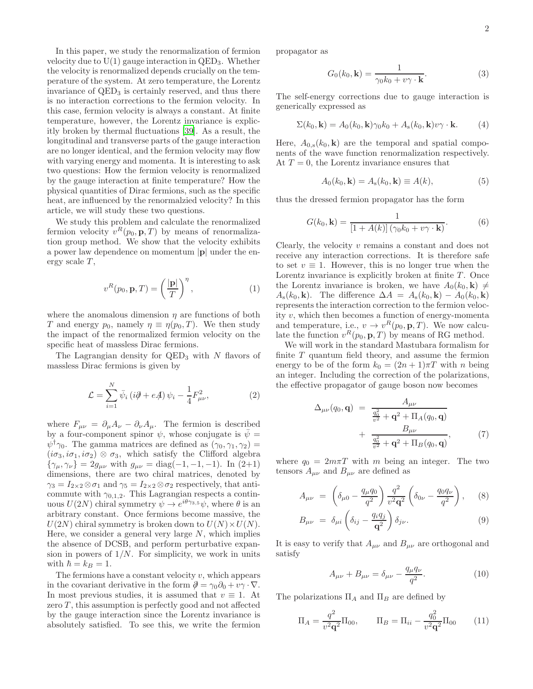In this paper, we study the renormalization of fermion velocity due to  $U(1)$  gauge interaction in  $QED_3$ . Whether the velocity is renormalized depends crucially on the temperature of the system. At zero temperature, the Lorentz invariance of  $QED<sub>3</sub>$  is certainly reserved, and thus there is no interaction corrections to the fermion velocity. In this case, fermion velocity is always a constant. At finite temperature, however, the Lorentz invariance is explicitly broken by thermal fluctuations [\[39](#page-6-24)]. As a result, the longitudinal and transverse parts of the gauge interaction are no longer identical, and the fermion velocity may flow with varying energy and momenta. It is interesting to ask two questions: How the fermion velocity is renormalized by the gauge interaction at finite temperature? How the physical quantities of Dirac fermions, such as the specific heat, are influenced by the renormalzied velocity? In this article, we will study these two questions.

We study this problem and calculate the renormalized fermion velocity  $v^R(p_0, \mathbf{p}, T)$  by means of renormalization group method. We show that the velocity exhibits a power law dependence on momentum |p| under the energy scale  $T$ ,

$$
v^{R}(p_0, \mathbf{p}, T) = \left(\frac{|\mathbf{p}|}{T}\right)^{\eta},\tag{1}
$$

where the anomalous dimension  $\eta$  are functions of both T and energy  $p_0$ , namely  $\eta \equiv \eta(p_0, T)$ . We then study the impact of the renormalized fermion velocity on the specific heat of massless Dirac fermions.

The Lagrangian density for  $QED_3$  with N flavors of massless Dirac fermions is given by

$$
\mathcal{L} = \sum_{i=1}^{N} \bar{\psi}_i \left( i\partial \!\!\!/ + e\!\!\!A \right) \psi_i - \frac{1}{4} F_{\mu\nu}^2,\tag{2}
$$

where  $F_{\mu\nu} = \partial_{\mu}A_{\nu} - \partial_{\nu}A_{\mu}$ . The fermion is described by a four-component spinor  $\psi$ , whose conjugate is  $\bar{\psi}$  =  $\psi^{\dagger} \gamma_0$ . The gamma matrices are defined as  $(\gamma_0, \gamma_1, \gamma_2)$  =  $(i\sigma_3, i\sigma_1, i\sigma_2) \otimes \sigma_3$ , which satisfy the Clifford algebra  $\{\gamma_{\mu}, \gamma_{\nu}\} = 2g_{\mu\nu}$  with  $g_{\mu\nu} = \text{diag}(-1, -1, -1)$ . In  $(2+1)$ dimensions, there are two chiral matrices, denoted by  $\gamma_3 = I_{2\times 2} \otimes \sigma_1$  and  $\gamma_5 = I_{2\times 2} \otimes \sigma_2$  respectively, that anticommute with  $\gamma_{0,1,2}$ . This Lagrangian respects a continuous  $U(2N)$  chiral symmetry  $\psi \to e^{i\theta\gamma_{3,5}}\psi$ , where  $\theta$  is an arbitrary constant. Once fermions become massive, the  $U(2N)$  chiral symmetry is broken down to  $U(N) \times U(N)$ . Here, we consider a general very large  $N$ , which implies the absence of DCSB, and perform perturbative expansion in powers of  $1/N$ . For simplicity, we work in units with  $\hbar = k_B = 1$ .

The fermions have a constant velocity  $v$ , which appears in the covariant derivative in the form  $\partial = \gamma_0 \partial_0 + v \gamma \cdot \nabla$ . In most previous studies, it is assumed that  $v \equiv 1$ . At zero  $T$ , this assumption is perfectly good and not affected by the gauge interaction since the Lorentz invariance is absolutely satisfied. To see this, we write the fermion

propagator as

$$
G_0(k_0, \mathbf{k}) = \frac{1}{\gamma_0 k_0 + v\gamma \cdot \mathbf{k}}.\tag{3}
$$

The self-energy corrections due to gauge interaction is generically expressed as

$$
\Sigma(k_0, \mathbf{k}) = A_0(k_0, \mathbf{k}) \gamma_0 k_0 + A_s(k_0, \mathbf{k}) v \gamma \cdot \mathbf{k}.
$$
 (4)

Here,  $A_{0,s}(k_0, \mathbf{k})$  are the temporal and spatial components of the wave function renormalization respectively. At  $T = 0$ , the Lorentz invariance ensures that

$$
A_0(k_0, \mathbf{k}) = A_s(k_0, \mathbf{k}) \equiv A(k),\tag{5}
$$

thus the dressed fermion propagator has the form

$$
G(k_0, \mathbf{k}) = \frac{1}{\left[1 + A(k)\right] \left(\gamma_0 k_0 + v \gamma \cdot \mathbf{k}\right)}.
$$
 (6)

Clearly, the velocity v remains a constant and does not receive any interaction corrections. It is therefore safe to set  $v \equiv 1$ . However, this is no longer true when the Lorentz invariance is explicitly broken at finite  $T$ . Once the Lorentz invariance is broken, we have  $A_0(k_0, \mathbf{k}) \neq$  $A_{s}(k_{0},\mathbf{k})$ . The difference  $\Delta A = A_{s}(k_{0},\mathbf{k}) - A_{0}(k_{0},\mathbf{k})$ represents the interaction correction to the fermion velocity  $v$ , which then becomes a function of energy-momenta and temperature, i.e.,  $v \to v^R(p_0, \mathbf{p}, T)$ . We now calculate the function  $v^R(p_0, \mathbf{p}, T)$  by means of RG method.

We will work in the standard Mastubara formalism for finite  $T$  quantum field theory, and assume the fermion energy to be of the form  $k_0 = (2n + 1)\pi T$  with n being an integer. Including the correction of the polarizations, the effective propagator of gauge boson now becomes

$$
\Delta_{\mu\nu}(q_0, \mathbf{q}) = \frac{A_{\mu\nu}}{\frac{q_0^2}{v^2} + \mathbf{q}^2 + \Pi_A(q_0, \mathbf{q})} + \frac{B_{\mu\nu}}{\frac{q_0^2}{v^2} + \mathbf{q}^2 + \Pi_B(q_0, \mathbf{q})},
$$
(7)

where  $q_0 = 2m\pi T$  with m being an integer. The two tensors  $A_{\mu\nu}$  and  $B_{\mu\nu}$  are defined as

$$
A_{\mu\nu} = \left(\delta_{\mu 0} - \frac{q_{\mu}q_{0}}{q^{2}}\right) \frac{q^{2}}{v^{2} \mathbf{q}^{2}} \left(\delta_{0\nu} - \frac{q_{0}q_{\nu}}{q^{2}}\right), \quad (8)
$$

$$
B_{\mu\nu} = \delta_{\mu i} \left( \delta_{ij} - \frac{q_i q_j}{\mathbf{q}^2} \right) \delta_{j\nu}.
$$
 (9)

It is easy to verify that  $A_{\mu\nu}$  and  $B_{\mu\nu}$  are orthogonal and satisfy

$$
A_{\mu\nu} + B_{\mu\nu} = \delta_{\mu\nu} - \frac{q_{\mu}q_{\nu}}{q^2}.
$$
 (10)

The polarizations  $\Pi_A$  and  $\Pi_B$  are defined by

$$
\Pi_A = \frac{q^2}{v^2 \mathbf{q}^2} \Pi_{00}, \qquad \Pi_B = \Pi_{ii} - \frac{q_0^2}{v^2 \mathbf{q}^2} \Pi_{00} \qquad (11)
$$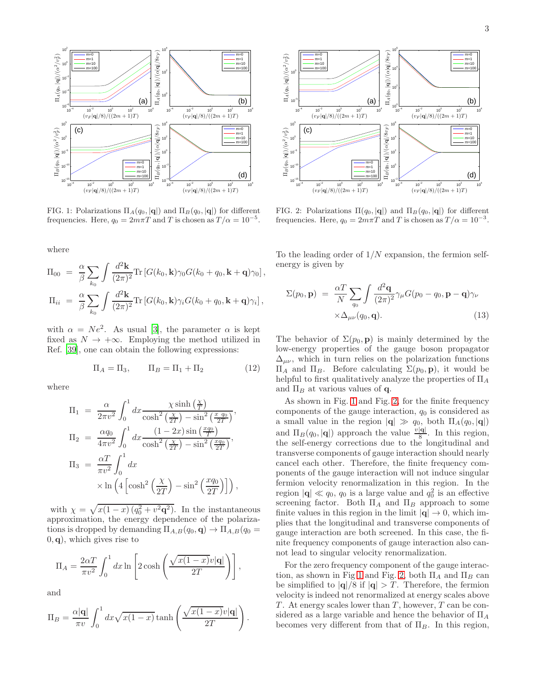

<span id="page-2-0"></span>FIG. 1: Polarizations  $\Pi_A(q_0, |\mathbf{q}|)$  and  $\Pi_B(q_0, |\mathbf{q}|)$  for different frequencies. Here,  $q_0 = 2m\pi T$  and T is chosen as  $T/\alpha = 10^{-5}$ .

where

$$
\Pi_{00} = \frac{\alpha}{\beta} \sum_{k_0} \int \frac{d^2 \mathbf{k}}{(2\pi)^2} \text{Tr} \left[ G(k_0, \mathbf{k}) \gamma_0 G(k_0 + q_0, \mathbf{k} + \mathbf{q}) \gamma_0 \right],
$$
  

$$
\Pi_{ii} = \frac{\alpha}{\beta} \sum_{k_0} \int \frac{d^2 \mathbf{k}}{(2\pi)^2} \text{Tr} \left[ G(k_0, \mathbf{k}) \gamma_i G(k_0 + q_0, \mathbf{k} + \mathbf{q}) \gamma_i \right],
$$

with  $\alpha = Ne^2$ . As usual [\[3\]](#page-6-16), the parameter  $\alpha$  is kept fixed as  $N \to +\infty$ . Employing the method utilized in Ref. [\[39\]](#page-6-24), one can obtain the following expressions:

$$
\Pi_A = \Pi_3, \qquad \Pi_B = \Pi_1 + \Pi_2 \tag{12}
$$

where

$$
\Pi_1 = \frac{\alpha}{2\pi v^2} \int_0^1 dx \frac{\chi \sinh\left(\frac{\chi}{T}\right)}{\cosh^2\left(\frac{\chi}{2T}\right) - \sin^2\left(\frac{x-q_0}{2T}\right)},
$$
\n
$$
\Pi_2 = \frac{\alpha q_0}{4\pi v^2} \int_0^1 dx \frac{(1-2x)\sin\left(\frac{xq_0}{T}\right)}{\cosh^2\left(\frac{\chi}{2T}\right) - \sin^2\left(\frac{xq_0}{2T}\right)},
$$
\n
$$
\Pi_3 = \frac{\alpha T}{\pi v^2} \int_0^1 dx
$$
\n
$$
\times \ln\left(4\left[\cosh^2\left(\frac{\chi}{2T}\right) - \sin^2\left(\frac{xq_0}{2T}\right)\right]\right),
$$

with  $\chi = \sqrt{x(1-x)(q_0^2 + v^2 \mathbf{q}^2)}$ . In the instantaneous approximation, the energy dependence of the polarizations is dropped by demanding  $\Pi_{A,B}(q_0, \mathbf{q}) \to \Pi_{A,B}(q_0 =$  $(0, q)$ , which gives rise to

$$
\Pi_A = \frac{2\alpha T}{\pi v^2} \int_0^1 dx \ln \left[ 2 \cosh \left( \frac{\sqrt{x(1-x)}v|\mathbf{q}|}{2T} \right) \right],
$$

and

$$
\Pi_B = \frac{\alpha |\mathbf{q}|}{\pi v} \int_0^1 dx \sqrt{x(1-x)} \tanh\left(\frac{\sqrt{x(1-x)}v|\mathbf{q}|}{2T}\right).
$$



<span id="page-2-1"></span>FIG. 2: Polarizations  $\Pi(q_0, |\mathbf{q}|)$  and  $\Pi_B(q_0, |\mathbf{q}|)$  for different frequencies. Here,  $q_0 = 2m\pi T$  and T is chosen as  $T/\alpha = 10^{-3}$ .

To the leading order of  $1/N$  expansion, the fermion selfenergy is given by

$$
\Sigma(p_0, \mathbf{p}) = \frac{\alpha T}{N} \sum_{q_0} \int \frac{d^2 \mathbf{q}}{(2\pi)^2} \gamma_\mu G(p_0 - q_0, \mathbf{p} - \mathbf{q}) \gamma_\nu
$$
  
 
$$
\times \Delta_{\mu\nu}(q_0, \mathbf{q}). \tag{13}
$$

The behavior of  $\Sigma(p_0, \mathbf{p})$  is mainly determined by the low-energy properties of the gauge boson propagator  $\Delta_{\mu\nu}$ , which in turn relies on the polarization functions  $\Pi_A$  and  $\Pi_B$ . Before calculating  $\Sigma(p_0, \mathbf{p})$ , it would be helpful to first qualitatively analyze the properties of  $\Pi_A$ and  $\Pi_B$  at various values of **q**.

As shown in Fig. [1](#page-2-0) and Fig. [2,](#page-2-1) for the finite frequency components of the gauge interaction,  $q_0$  is considered as a small value in the region  $|\mathbf{q}| \gg q_0$ , both  $\Pi_A(q_0, |\mathbf{q}|)$ and  $\Pi_B(q_0, |\mathbf{q}|)$  approach the value  $\frac{v|\mathbf{q}|}{8}$ . In this region, the self-energy corrections due to the longitudinal and transverse components of gauge interaction should nearly cancel each other. Therefore, the finite frequency components of the gauge interaction will not induce singular fermion velocity renormalization in this region. In the region  $|\mathbf{q}| \ll q_0$ ,  $q_0$  is a large value and  $q_0^2$  is an effective screening factor. Both  $\Pi_A$  and  $\Pi_B$  approach to some finite values in this region in the limit  $|\mathbf{q}| \to 0$ , which implies that the longitudinal and transverse components of gauge interaction are both screened. In this case, the finite frequency components of gauge interaction also cannot lead to singular velocity renormalization.

For the zero frequency component of the gauge interac-tion, as shown in Fig [1](#page-2-0) and Fig. [2,](#page-2-1) both  $\Pi_A$  and  $\Pi_B$  can be simplified to  $|{\bf q}|/8$  if  $|{\bf q}| > T$ . Therefore, the fermion velocity is indeed not renormalized at energy scales above T. At energy scales lower than  $T$ , however,  $T$  can be considered as a large variable and hence the behavior of  $\Pi_A$ becomes very different from that of  $\Pi_B$ . In this region,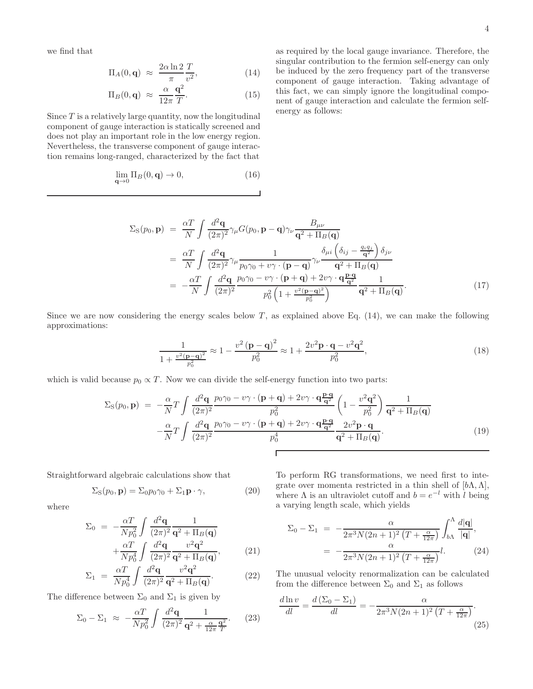we find that

$$
\Pi_A(0, \mathbf{q}) \approx \frac{2\alpha \ln 2}{\pi} \frac{T}{v^2},\tag{14}
$$

$$
\Pi_B(0, \mathbf{q}) \approx \frac{\alpha}{12\pi} \frac{\mathbf{q}^2}{T}.
$$
 (15)

Since  $T$  is a relatively large quantity, now the longitudinal component of gauge interaction is statically screened and does not play an important role in the low energy region. Nevertheless, the transverse component of gauge interaction remains long-ranged, characterized by the fact that

$$
\lim_{\mathbf{q}\to 0} \Pi_B(0, \mathbf{q}) \to 0,\tag{16}
$$

as required by the local gauge invariance. Therefore, the singular contribution to the fermion self-energy can only be induced by the zero frequency part of the transverse component of gauge interaction. Taking advantage of this fact, we can simply ignore the longitudinal component of gauge interaction and calculate the fermion selfenergy as follows:

$$
\Sigma_{\rm S}(p_0, \mathbf{p}) = \frac{\alpha T}{N} \int \frac{d^2 \mathbf{q}}{(2\pi)^2} \gamma_{\mu} G(p_0, \mathbf{p} - \mathbf{q}) \gamma_{\nu} \frac{B_{\mu\nu}}{\mathbf{q}^2 + \Pi_B(\mathbf{q})}
$$
  
\n
$$
= \frac{\alpha T}{N} \int \frac{d^2 \mathbf{q}}{(2\pi)^2} \gamma_{\mu} \frac{1}{p_0 \gamma_0 + v \gamma \cdot (\mathbf{p} - \mathbf{q})} \gamma_{\nu} \frac{\delta_{\mu i} \left(\delta_{ij} - \frac{q_i q_j}{\mathbf{q}^2}\right) \delta_{j\nu}}{\mathbf{q}^2 + \Pi_B(\mathbf{q})}
$$
  
\n
$$
= -\frac{\alpha T}{N} \int \frac{d^2 \mathbf{q}}{(2\pi)^2} \frac{p_0 \gamma_0 - v \gamma \cdot (\mathbf{p} + \mathbf{q}) + 2v \gamma \cdot \mathbf{q} \frac{\mathbf{p} \cdot \mathbf{q}}{\mathbf{q}^2}}{\rho_0^2 \left(1 + \frac{v^2 (\mathbf{p} - \mathbf{q})^2}{p_0^2}\right)} \frac{1}{\mathbf{q}^2 + \Pi_B(\mathbf{q})}. \tag{17}
$$

Since we are now considering the energy scales below  $T$ , as explained above Eq. (14), we can make the following approximations:

$$
\frac{1}{1 + \frac{v^2(\mathbf{p} - \mathbf{q})^2}{p_0^2}} \approx 1 - \frac{v^2(\mathbf{p} - \mathbf{q})^2}{p_0^2} \approx 1 + \frac{2v^2\mathbf{p} \cdot \mathbf{q} - v^2\mathbf{q}^2}{p_0^2},
$$
\n(18)

which is valid because  $p_0 \propto T$ . Now we can divide the self-energy function into two parts:

$$
\Sigma_{\rm S}(p_0, \mathbf{p}) = -\frac{\alpha}{N} T \int \frac{d^2 \mathbf{q}}{(2\pi)^2} \frac{p_0 \gamma_0 - v \gamma \cdot (\mathbf{p} + \mathbf{q}) + 2v \gamma \cdot \mathbf{q} \frac{\mathbf{p} \cdot \mathbf{q}}{\mathbf{q}^2}}{p_0^2} \left(1 - \frac{v^2 \mathbf{q}^2}{p_0^2}\right) \frac{1}{\mathbf{q}^2 + \Pi_B(\mathbf{q})} -\frac{\alpha}{N} T \int \frac{d^2 \mathbf{q}}{(2\pi)^2} \frac{p_0 \gamma_0 - v \gamma \cdot (\mathbf{p} + \mathbf{q}) + 2v \gamma \cdot \mathbf{q} \frac{\mathbf{p} \cdot \mathbf{q}}{\mathbf{q}^2}}{p_0^4} \frac{2v^2 \mathbf{p} \cdot \mathbf{q}}{\mathbf{q}^2 + \Pi_B(\mathbf{q})}.
$$
\n(19)

Straightforward algebraic calculations show that

$$
\Sigma_{\rm S}(p_0, \mathbf{p}) = \Sigma_0 p_0 \gamma_0 + \Sigma_1 \mathbf{p} \cdot \gamma,\tag{20}
$$

where

$$
\Sigma_0 = -\frac{\alpha T}{Np_0^2} \int \frac{d^2 \mathbf{q}}{(2\pi)^2} \frac{1}{\mathbf{q}^2 + \Pi_B(\mathbf{q})} + \frac{\alpha T}{Np_0^4} \int \frac{d^2 \mathbf{q}}{(2\pi)^2} \frac{v^2 \mathbf{q}^2}{\mathbf{q}^2 + \Pi_B(\mathbf{q})},
$$
\n(21)

$$
\Sigma_1 = \frac{\alpha T}{N p_0^4} \int \frac{d^2 \mathbf{q}}{(2\pi)^2} \frac{v^2 \mathbf{q}^2}{\mathbf{q}^2 + \Pi_B(\mathbf{q})}.
$$
 (22)

The difference between  $\Sigma_0$  and  $\Sigma_1$  is given by

$$
\Sigma_0 - \Sigma_1 \approx -\frac{\alpha T}{N p_0^2} \int \frac{d^2 \mathbf{q}}{(2\pi)^2} \frac{1}{\mathbf{q}^2 + \frac{\alpha}{12\pi} \frac{\mathbf{q}^2}{T}}.
$$
 (23)

To perform RG transformations, we need first to integrate over momenta restricted in a thin shell of  $[b\Lambda, \Lambda]$ , where  $\Lambda$  is an ultraviolet cutoff and  $b = e^{-l}$  with  $l$  being a varying length scale, which yields

$$
\Sigma_0 - \Sigma_1 = -\frac{\alpha}{2\pi^3 N (2n+1)^2 (T + \frac{\alpha}{12\pi})} \int_{b\Lambda}^{\Lambda} \frac{d|\mathbf{q}|}{|\mathbf{q}|},
$$

$$
= -\frac{\alpha}{2\pi^3 N (2n+1)^2 (T + \frac{\alpha}{12\pi})} l.
$$
(24)

The unusual velocity renormalization can be calculated from the difference between  $\Sigma_0$  and  $\Sigma_1$  as follows

$$
\frac{d\ln v}{dl} = \frac{d\left(\Sigma_0 - \Sigma_1\right)}{dl} = -\frac{\alpha}{2\pi^3 N (2n+1)^2 \left(T + \frac{\alpha}{12\pi}\right)}.\tag{25}
$$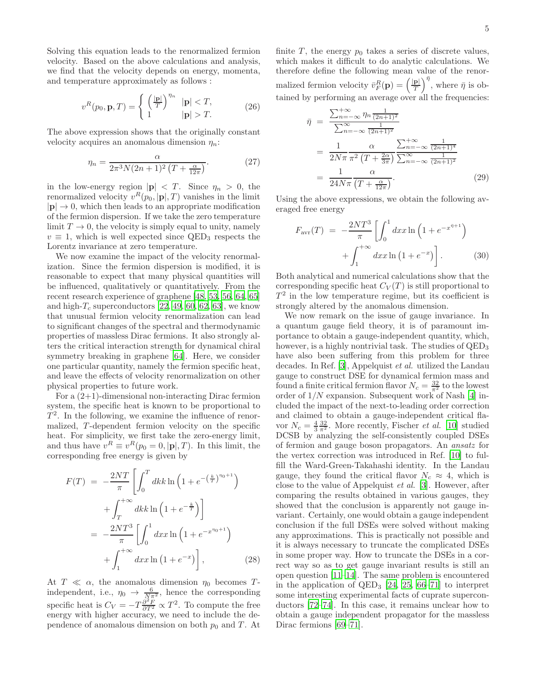Solving this equation leads to the renormalized fermion velocity. Based on the above calculations and analysis, we find that the velocity depends on energy, momenta, and temperature approximately as follows :

<span id="page-4-0"></span>
$$
v^{R}(p_0, \mathbf{p}, T) = \begin{cases} \left(\frac{|\mathbf{p}|}{T}\right)^{\eta_n} & |\mathbf{p}| < T, \\ 1 & |\mathbf{p}| > T. \end{cases}
$$
 (26)

The above expression shows that the originally constant velocity acquires an anomalous dimension  $\eta_n$ :

<span id="page-4-1"></span>
$$
\eta_n = \frac{\alpha}{2\pi^3 N (2n+1)^2 (T + \frac{\alpha}{12\pi})}.
$$
 (27)

in the low-energy region  $|\mathbf{p}| < T$ . Since  $\eta_n > 0$ , the renormalized velocity  $v^R(p_0, |{\bf p}|, T)$  vanishes in the limit  $|\mathbf{p}| \to 0$ , which then leads to an appropriate modification of the fermion dispersion. If we take the zero temperature limit  $T \to 0$ , the velocity is simply equal to unity, namely  $v \equiv 1$ , which is well expected since QED<sub>3</sub> respects the Lorentz invariance at zero temperature.

We now examine the impact of the velocity renormalization. Since the fermion dispersion is modified, it is reasonable to expect that many physical quantities will be influenced, qualitatively or quantitatively. From the recent research experience of graphene [\[48,](#page-6-29) [53,](#page-7-0) [56,](#page-7-1) [64,](#page-7-6) [65](#page-7-7)] and high- $T_c$  superconductors [\[22](#page-6-26), [49,](#page-6-32) [60,](#page-7-4) [62](#page-7-8), [63](#page-7-5)], we know that unusual fermion velocity renormalization can lead to significant changes of the spectral and thermodynamic properties of massless Dirac fermions. It also strongly alters the critical interaction strength for dynamical chiral symmetry breaking in graphene [\[64](#page-7-6)]. Here, we consider one particular quantity, namely the fermion specific heat, and leave the effects of velocity renormalization on other physical properties to future work.

For a (2+1)-dimensional non-interacting Dirac fermion system, the specific heat is known to be proportional to  $T<sup>2</sup>$ . In the following, we examine the influence of renormalized, T -dependent fermion velocity on the specific heat. For simplicity, we first take the zero-energy limit, and thus have  $v^R \equiv v^R(p_0 = 0, |\mathbf{p}|, T)$ . In this limit, the corresponding free energy is given by

$$
F(T) = -\frac{2NT}{\pi} \left[ \int_0^T dk k \ln \left( 1 + e^{-\left(\frac{k}{T}\right)^{\eta_0 + 1}} \right) \right.
$$
  
 
$$
+ \int_T^{+\infty} dk k \ln \left( 1 + e^{-\frac{k}{T}} \right) \right]
$$
  
= 
$$
-\frac{2NT^3}{\pi} \left[ \int_0^1 dx x \ln \left( 1 + e^{-x^{\eta_0 + 1}} \right) \right.
$$
  
+ 
$$
\int_1^{+\infty} dx x \ln \left( 1 + e^{-x} \right) \right],
$$
 (28)

At  $T \ll \alpha$ , the anomalous dimension  $\eta_0$  becomes Tindependent, i.e.,  $\eta_0 \rightarrow \frac{6}{N\pi^2}$ , hence the corresponding specific heat is  $C_V = -T \frac{\partial^2 F}{\partial T^2} \propto T^2$ . To compute the free energy with higher accuracy, we need to include the dependence of anomalous dimension on both  $p_0$  and T. At

finite  $T$ , the energy  $p_0$  takes a series of discrete values, which makes it difficult to do analytic calculations. We therefore define the following mean value of the renormalized fermion velocity  $\overline{v}_F^R(\mathbf{p}) = \left(\frac{|\mathbf{p}|}{T}\right)^{\overline{\eta}}$ , where  $\overline{\eta}$  is obtained by performing an average over all the frequencies:

$$
\bar{\eta} = \frac{\sum_{n=-\infty}^{+\infty} \eta_n \frac{1}{(2n+1)^2}}{\sum_{n=-\infty}^{\infty} \frac{1}{(2n+1)^2}} \n= \frac{1}{2N\pi} \frac{\alpha}{\pi^2 (T + \frac{2\alpha}{3\pi})} \frac{\sum_{n=-\infty}^{+\infty} \frac{1}{(2n+1)^4}}{\sum_{n=-\infty}^{\infty} \frac{1}{(2n+1)^2}} \n= \frac{1}{24N\pi} \frac{\alpha}{(T + \frac{\alpha}{12\pi})}.
$$
\n(29)

Using the above expressions, we obtain the following averaged free energy

$$
F_{\text{avr}}(T) = -\frac{2NT^3}{\pi} \left[ \int_0^1 dx x \ln \left( 1 + e^{-x^{\bar{\eta}+1}} \right) + \int_1^{+\infty} dx x \ln \left( 1 + e^{-x} \right) \right]. \tag{30}
$$

Both analytical and numerical calculations show that the corresponding specific heat  $C_V(T)$  is still proportional to  $T<sup>2</sup>$  in the low temperature regime, but its coefficient is strongly altered by the anomalous dimension.

We now remark on the issue of gauge invariance. In a quantum gauge field theory, it is of paramount importance to obtain a gauge-independent quantity, which, however, is a highly nontrivial task. The studies of  $\text{QED}_3$ have also been suffering from this problem for three decades. In Ref. [\[3\]](#page-6-16), Appelquist et al. utilized the Landau gauge to construct DSE for dynamical fermion mass and found a finite critical fermion flavor  $N_c = \frac{32}{\pi^2}$  to the lowest order of  $1/N$  expansion. Subsequent work of Nash [\[4\]](#page-6-17) included the impact of the next-to-leading order correction and claimed to obtain a gauge-independent critical flavor  $N_c = \frac{4}{3} \frac{32}{\pi^2}$ . More recently, Fischer *et al.* [\[10](#page-6-18)] studied DCSB by analyzing the self-consistently coupled DSEs of fermion and gauge boson propagators. An ansatz for the vertex correction was introduced in Ref. [\[10](#page-6-18)] to fulfill the Ward-Green-Takahashi identity. In the Landau gauge, they found the critical flavor  $N_c \approx 4$ , which is close to the value of Appelquist et al. [\[3](#page-6-16)]. However, after comparing the results obtained in various gauges, they showed that the conclusion is apparently not gauge invariant. Certainly, one would obtain a gauge independent conclusion if the full DSEs were solved without making any approximations. This is practically not possible and it is always necessary to truncate the complicated DSEs in some proper way. How to truncate the DSEs in a correct way so as to get gauge invariant results is still an open question [\[11](#page-6-3)[–14\]](#page-6-33). The same problem is encountered in the application of  $QED_3$  [\[24,](#page-6-34) [25](#page-6-22), [66](#page-7-9)[–71](#page-7-10)] to interpret some interesting experimental facts of cuprate superconductors [\[72](#page-7-11)[–74\]](#page-7-12). In this case, it remains unclear how to obtain a gauge independent propagator for the massless Dirac fermions [\[69](#page-7-13)[–71\]](#page-7-10).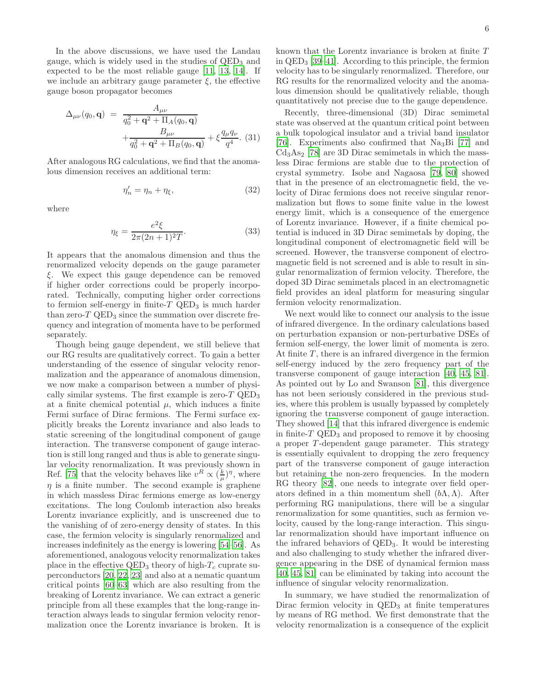In the above discussions, we have used the Landau gauge, which is widely used in the studies of  $QED<sub>3</sub>$  and expected to be the most reliable gauge [\[11,](#page-6-3) [13,](#page-6-35) [14\]](#page-6-33). If we include an arbitrary gauge parameter  $\xi$ , the effective gauge boson propagator becomes

$$
\Delta_{\mu\nu}(q_0, \mathbf{q}) = \frac{A_{\mu\nu}}{q_0^2 + \mathbf{q}^2 + \Pi_A(q_0, \mathbf{q})} + \frac{B_{\mu\nu}}{q_0^2 + \mathbf{q}^2 + \Pi_B(q_0, \mathbf{q})} + \xi \frac{q_\mu q_\nu}{q^4}.
$$
 (31)

After analogous RG calculations, we find that the anomalous dimension receives an additional term:

$$
\eta_n' = \eta_n + \eta_\xi,\tag{32}
$$

where

$$
\eta_{\xi} = \frac{e^2 \xi}{2\pi (2n+1)^2 T}.
$$
\n(33)

It appears that the anomalous dimension and thus the renormalized velocity depends on the gauge parameter ξ. We expect this gauge dependence can be removed if higher order corrections could be properly incorporated. Technically, computing higher order corrections to fermion self-energy in finite- $T$  QED<sub>3</sub> is much harder than zero- $T$  QED<sub>3</sub> since the summation over discrete frequency and integration of momenta have to be performed separately.

Though being gauge dependent, we still believe that our RG results are qualitatively correct. To gain a better understanding of the essence of singular velocity renormalization and the appearance of anomalous dimension, we now make a comparison between a number of physically similar systems. The first example is zero- $T$  QED<sub>3</sub> at a finite chemical potential  $\mu$ , which induces a finite Fermi surface of Dirac fermions. The Fermi surface explicitly breaks the Lorentz invariance and also leads to static screening of the longitudinal component of gauge interaction. The transverse component of gauge interaction is still long ranged and thus is able to generate singular velocity renormalization. It was previously shown in Ref. [\[75](#page-7-14)] that the velocity behaves like  $v^R \propto (\frac{k}{\mu})^{\eta}$ , where  $\eta$  is a finite number. The second example is graphene in which massless Dirac fermions emerge as low-energy excitations. The long Coulomb interaction also breaks Lorentz invariance explicitly, and is unscreened due to the vanishing of of zero-energy density of states. In this case, the fermion velocity is singularly renormalized and increases indefinitely as the energy is lowering [\[54](#page-7-15)[–56](#page-7-1)]. As aforementioned, analogous velocity renormalization takes place in the effective  $QED_3$  theory of high- $T_c$  cuprate superconductors [\[20,](#page-6-6) [22,](#page-6-26) [23](#page-6-21)] and also at a nematic quantum critical points [\[60](#page-7-4)[–63](#page-7-5)] which are also resulting from the breaking of Lorentz invariance. We can extract a generic principle from all these examples that the long-range interaction always leads to singular fermion velocity renormalization once the Lorentz invariance is broken. It is

known that the Lorentz invariance is broken at finite T in QED<sup>3</sup> [\[39](#page-6-24)[–41](#page-6-36)]. According to this principle, the fermion velocity has to be singularly renormalized. Therefore, our RG results for the renormalized velocity and the anomalous dimension should be qualitatively reliable, though quantitatively not precise due to the gauge dependence.

Recently, three-dimensional (3D) Dirac semimetal state was observed at the quantum critical point between a bulk topological insulator and a trivial band insulator [\[76\]](#page-7-16). Experiments also confirmed that Na3Bi [\[77\]](#page-7-17) and  $Cd<sub>3</sub>As<sub>2</sub>$  [\[78\]](#page-7-18) are 3D Dirac semimetals in which the massless Dirac fermions are stable due to the protection of crystal symmetry. Isobe and Nagaosa [\[79](#page-7-19), [80\]](#page-7-20) showed that in the presence of an electromagnetic field, the velocity of Dirac fermions does not receive singular renormalization but flows to some finite value in the lowest energy limit, which is a consequence of the emergence of Lorentz invariance. However, if a finite chemical potential is induced in 3D Dirac semimetals by doping, the longitudinal component of electromagnetic field will be screened. However, the transverse component of electromagnetic field is not screened and is able to result in singular renormalization of fermion velocity. Therefore, the doped 3D Dirac semimetals placed in an electromagnetic field provides an ideal platform for measuring singular fermion velocity renormalization.

We next would like to connect our analysis to the issue of infrared divergence. In the ordinary calculations based on perturbation expansion or non-perturbative DSEs of fermion self-energy, the lower limit of momenta is zero. At finite  $T$ , there is an infrared divergence in the fermion self-energy induced by the zero frequency part of the transverse component of gauge interaction [\[40,](#page-6-37) [45,](#page-6-25) [81\]](#page-7-21). As pointed out by Lo and Swanson [\[81\]](#page-7-21), this divergence has not been seriously considered in the previous studies, where this problem is usually bypassed by completely ignoring the transverse component of gauge interaction. They showed [\[14](#page-6-33)] that this infrared divergence is endemic in finite- $T$  QED<sub>3</sub> and proposed to remove it by choosing a proper T -dependent gauge parameter. This strategy is essentially equivalent to dropping the zero frequency part of the transverse component of gauge interaction but retaining the non-zero frequencies. In the modern RG theory [\[82](#page-7-22)], one needs to integrate over field operators defined in a thin momentum shell  $(b\Lambda, \Lambda)$ . After performing RG manipulations, there will be a singular renormalization for some quantities, such as fermion velocity, caused by the long-range interaction. This singular renormalization should have important influence on the infrared behaviors of QED3. It would be interesting and also challenging to study whether the infrared divergence appearing in the DSE of dynamical fermion mass [\[40,](#page-6-37) [45,](#page-6-25) [81\]](#page-7-21) can be eliminated by taking into account the influence of singular velocity renormalization.

In summary, we have studied the renormalization of Dirac fermion velocity in  $QED<sub>3</sub>$  at finite temperatures by means of RG method. We first demonstrate that the velocity renormalization is a consequence of the explicit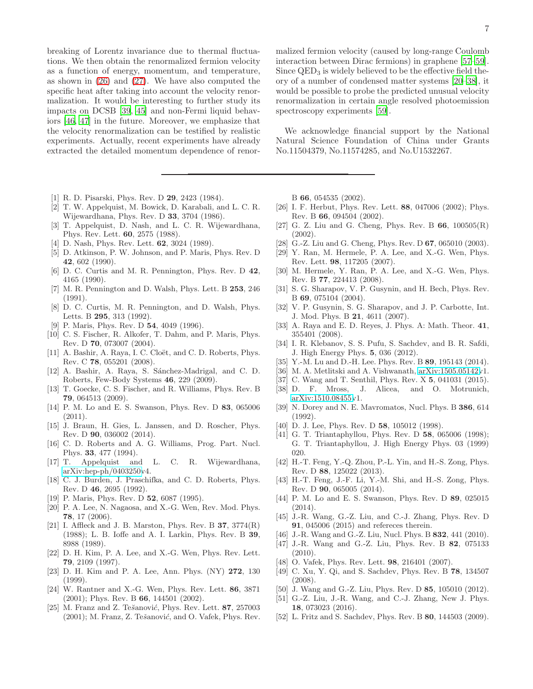breaking of Lorentz invariance due to thermal fluctuations. We then obtain the renormalized fermion velocity as a function of energy, momentum, and temperature, as shown in [\(26\)](#page-4-0) and [\(27\)](#page-4-1). We have also computed the specific heat after taking into account the velocity renormalization. It would be interesting to further study its impacts on DCSB [\[39](#page-6-24), [45\]](#page-6-25) and non-Fermi liquid behaviors [\[46,](#page-6-27) [47\]](#page-6-28) in the future. Moreover, we emphasize that the velocity renormalization can be testified by realistic experiments. Actually, recent experiments have already extracted the detailed momentum dependence of renor-

- <span id="page-6-0"></span>[1] R. D. Pisarski, Phys. Rev. D **29**, 2423 (1984).
- <span id="page-6-2"></span>[2] T. W. Appelquist, M. Bowick, D. Karabali, and L. C. R. Wijewardhana, Phys. Rev. D 33, 3704 (1986).
- <span id="page-6-16"></span>[3] T. Appelquist, D. Nash, and L. C. R. Wijewardhana, Phys. Rev. Lett. 60, 2575 (1988).
- <span id="page-6-17"></span>[4] D. Nash, Phys. Rev. Lett. **62**, 3024 (1989).
- [5] D. Atkinson, P. W. Johnson, and P. Maris, Phys. Rev. D 42, 602 (1990).
- [6] D. C. Curtis and M. R. Pennington, Phys. Rev. D 42, 4165 (1990).
- [7] M. R. Pennington and D. Walsh, Phys. Lett. B 253, 246 (1991).
- [8] D. C. Curtis, M. R. Pennington, and D. Walsh, Phys. Letts. B 295, 313 (1992).
- [9] P. Maris, Phys. Rev. D 54, 4049 (1996).
- <span id="page-6-18"></span>[10] C. S. Fischer, R. Alkofer, T. Dahm, and P. Maris, Phys. Rev. D 70, 073007 (2004).
- <span id="page-6-3"></span>[11] A. Bashir, A. Raya, I. C. Cloët, and C. D. Roberts, Phys. Rev. C 78, 055201 (2008).
- [12] A. Bashir, A. Raya, S. Sánchez-Madrigal, and C. D. Roberts, Few-Body Systems 46, 229 (2009).
- <span id="page-6-35"></span>[13] T. Goecke, C. S. Fischer, and R. Williams, Phys. Rev. B 79, 064513 (2009).
- <span id="page-6-33"></span>[14] P. M. Lo and E. S. Swanson, Phys. Rev. D 83, 065006  $(2011).$
- [15] J. Braun, H. Gies, L. Janssen, and D. Roscher, Phys. Rev. D 90, 036002 (2014).
- <span id="page-6-19"></span>[16] C. D. Roberts and A. G. Williams, Prog. Part. Nucl. Phys. 33, 477 (1994).
- <span id="page-6-1"></span>[17] T. Appelquist and L. C. R. Wijewardhana, [arXiv:hep-ph/0403250v](http://arxiv.org/abs/hep-ph/0403250)4.
- <span id="page-6-4"></span>[18] C. J. Burden, J. Praschifka, and C. D. Roberts, Phys. Rev. D 46, 2695 (1992).
- <span id="page-6-5"></span>[19] P. Maris, Phys. Rev. D **52**, 6087 (1995).
- <span id="page-6-6"></span>[20] P. A. Lee, N. Nagaosa, and X.-G. Wen, Rev. Mod. Phys. 78, 17 (2006).
- <span id="page-6-20"></span>[21] I. Affleck and J. B. Marston, Phys. Rev. B  $37, 3774(R)$ (1988); L. B. Ioffe and A. I. Larkin, Phys. Rev. B 39, 8988 (1989).
- <span id="page-6-26"></span>[22] D. H. Kim, P. A. Lee, and X.-G. Wen, Phys. Rev. Lett. 79, 2109 (1997).
- <span id="page-6-21"></span>[23] D. H. Kim and P. A. Lee, Ann. Phys. (NY) 272, 130 (1999).
- <span id="page-6-34"></span>[24] W. Rantner and X.-G. Wen, Phys. Rev. Lett. 86, 3871 (2001); Phys. Rev. B 66, 144501 (2002).
- <span id="page-6-22"></span>[25] M. Franz and Z. Tešanović, Phys. Rev. Lett.  $87, 257003$  $(2001)$ ; M. Franz, Z. Tešanović, and O. Vafek, Phys. Rev.

malized fermion velocity (caused by long-range Coulomb interaction between Dirac fermions) in graphene [\[57](#page-7-2)[–59\]](#page-7-3). Since  $QED<sub>3</sub>$  is widely believed to be the effective field theory of a number of condensed matter systems [\[20](#page-6-6)[–38\]](#page-6-15), it would be possible to probe the predicted unusual velocity renormalization in certain angle resolved photoemission spectroscopy experiments [\[59\]](#page-7-3).

We acknowledge financial support by the National Natural Science Foundation of China under Grants No.11504379, No.11574285, and No.U1532267.

B 66, 054535 (2002).

- [26] I. F. Herbut, Phys. Rev. Lett. 88, 047006 (2002); Phys. Rev. B 66, 094504 (2002).
- <span id="page-6-23"></span>[27] G. Z. Liu and G. Cheng, Phys. Rev. B  $66$ ,  $100505(R)$ (2002).
- <span id="page-6-7"></span>[28] G.-Z. Liu and G. Cheng, Phys. Rev. D 67, 065010 (2003).
- <span id="page-6-8"></span>[29] Y. Ran, M. Hermele, P. A. Lee, and X.-G. Wen, Phys. Rev. Lett. 98, 117205 (2007).
- <span id="page-6-9"></span>[30] M. Hermele, Y. Ran, P. A. Lee, and X.-G. Wen, Phys. Rev. B 77, 224413 (2008).
- <span id="page-6-10"></span>[31] S. G. Sharapov, V. P. Gusynin, and H. Bech, Phys. Rev. B 69, 075104 (2004).
- [32] V. P. Gusynin, S. G. Sharapov, and J. P. Carbotte, Int. J. Mod. Phys. B 21, 4611 (2007).
- <span id="page-6-11"></span>[33] A. Raya and E. D. Reyes, J. Phys. A: Math. Theor. 41, 355401 (2008).
- <span id="page-6-12"></span>[34] I. R. Klebanov, S. S. Pufu, S. Sachdev, and B. R. Safdi, J. High Energy Phys. 5, 036 (2012).
- <span id="page-6-13"></span>[35] Y.-M. Lu and D.-H. Lee. Phys. Rev. B 89, 195143 (2014).
- <span id="page-6-14"></span>[36] M. A. Metlitski and A. Vishwanath, [arXiv:1505.05142v](http://arxiv.org/abs/1505.05142)1.
- [37] C. Wang and T. Senthil, Phys. Rev. X 5, 041031 (2015).
- <span id="page-6-15"></span>[38] D. F. Mross, J. Alicea, and O. Motrunich, [arXiv:1510.08455v](http://arxiv.org/abs/1510.08455)1.
- <span id="page-6-24"></span>[39] N. Dorey and N. E. Mavromatos, Nucl. Phys. B 386, 614 (1992).
- <span id="page-6-37"></span>[40] D. J. Lee, Phys. Rev. D 58, 105012 (1998).
- <span id="page-6-36"></span>[41] G. T. Triantaphyllou, Phys. Rev. D **58**, 065006 (1998); G. T. Triantaphyllou, J. High Energy Phys. 03 (1999) 020.
- [42] H.-T. Feng, Y.-Q. Zhou, P.-L. Yin, and H.-S. Zong, Phys. Rev. D 88, 125022 (2013).
- [43] H.-T. Feng, J.-F. Li, Y.-M. Shi, and H.-S. Zong, Phys. Rev. D 90, 065005 (2014).
- [44] P. M. Lo and E. S. Swanson, Phys. Rev. D 89, 025015 (2014).
- <span id="page-6-25"></span>[45] J.-R. Wang, G.-Z. Liu, and C.-J. Zhang, Phys. Rev. D 91, 045006 (2015) and refereces therein.
- <span id="page-6-27"></span>[46] J.-R. Wang and G.-Z. Liu, Nucl. Phys. B 832, 441 (2010).
- <span id="page-6-28"></span>[47] J.-R. Wang and G.-Z. Liu, Phys. Rev. B 82, 075133  $(2010).$
- <span id="page-6-29"></span>[48] O. Vafek, Phys. Rev. Lett. **98**, 216401 (2007).
- <span id="page-6-32"></span>[49] C. Xu, Y. Qi, and S. Sachdev, Phys. Rev. B 78, 134507 (2008).
- [50] J. Wang and G.-Z. Liu, Phys. Rev. D 85, 105010 (2012).
- <span id="page-6-30"></span>[51] G.-Z. Liu, J.-R. Wang, and C.-J. Zhang, New J. Phys. 18, 073023 (2016).
- <span id="page-6-31"></span>[52] L. Fritz and S. Sachdev, Phys. Rev. B 80, 144503 (2009).